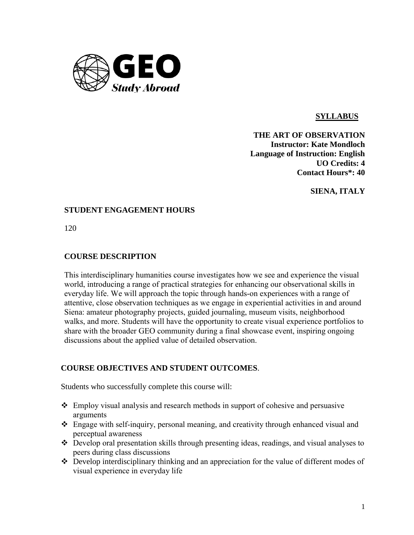

# **SYLLABUS**

**THE ART OF OBSERVATION Instructor: Kate Mondloch Language of Instruction: English UO Credits: 4 Contact Hours\*: 40**

**SIENA, ITALY**

### **STUDENT ENGAGEMENT HOURS**

120

## **COURSE DESCRIPTION**

This interdisciplinary humanities course investigates how we see and experience the visual world, introducing a range of practical strategies for enhancing our observational skills in everyday life. We will approach the topic through hands-on experiences with a range of attentive, close observation techniques as we engage in experiential activities in and around Siena: amateur photography projects, guided journaling, museum visits, neighborhood walks, and more. Students will have the opportunity to create visual experience portfolios to share with the broader GEO community during a final showcase event, inspiring ongoing discussions about the applied value of detailed observation.

### **COURSE OBJECTIVES AND STUDENT OUTCOMES**.

Students who successfully complete this course will:

- Employ visual analysis and research methods in support of cohesive and persuasive arguments
- Engage with self-inquiry, personal meaning, and creativity through enhanced visual and perceptual awareness
- Develop oral presentation skills through presenting ideas, readings, and visual analyses to peers during class discussions
- Develop interdisciplinary thinking and an appreciation for the value of different modes of visual experience in everyday life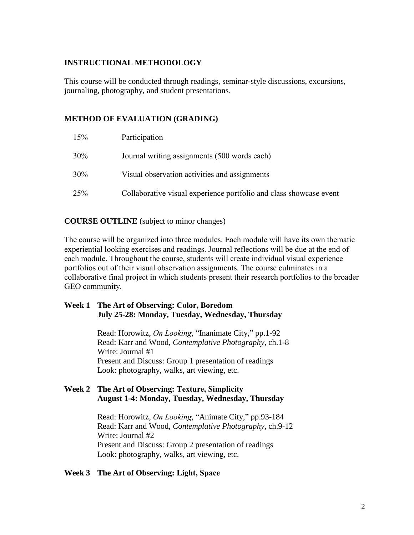## **INSTRUCTIONAL METHODOLOGY**

This course will be conducted through readings, seminar-style discussions, excursions, journaling, photography, and student presentations.

# **METHOD OF EVALUATION (GRADING)**

| 15% | Participation                                                      |
|-----|--------------------------------------------------------------------|
| 30% | Journal writing assignments (500 words each)                       |
| 30% | Visual observation activities and assignments                      |
| 25% | Collaborative visual experience portfolio and class showcase event |

**COURSE OUTLINE** (subject to minor changes)

The course will be organized into three modules. Each module will have its own thematic experiential looking exercises and readings. Journal reflections will be due at the end of each module. Throughout the course, students will create individual visual experience portfolios out of their visual observation assignments. The course culminates in a collaborative final project in which students present their research portfolios to the broader GEO community.

### **Week 1 The Art of Observing: Color, Boredom July 25-28: Monday, Tuesday, Wednesday, Thursday**

Read: Horowitz, *On Looking*, "Inanimate City," pp.1-92 Read: Karr and Wood, *Contemplative Photography,* ch.1-8 Write: Journal #1 Present and Discuss: Group 1 presentation of readings Look: photography, walks, art viewing, etc.

# **Week 2 The Art of Observing: Texture, Simplicity August 1-4: Monday, Tuesday, Wednesday, Thursday**

Read: Horowitz, *On Looking*, "Animate City," pp.93-184 Read: Karr and Wood, *Contemplative Photography,* ch.9-12 Write: Journal #2 Present and Discuss: Group 2 presentation of readings Look: photography, walks, art viewing, etc.

### **Week 3 The Art of Observing: Light, Space**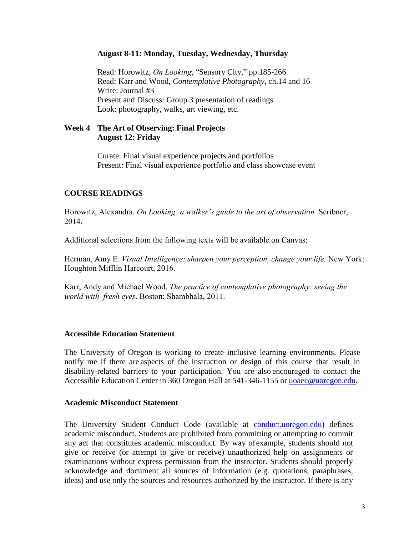#### **August 8-11: Monday, Tuesday, Wednesday, Thursday**

Read: Horowitz, *On Looking*, "Sensory City," pp.185-266 Read: Karr and Wood, *Contemplative Photography,* ch.14 and 16 Write: Journal #3 Present and Discuss: Group 3 presentation of readings Look: photography, walks, art viewing, etc.

### **Week 4 The Art of Observing: Final Projects August 12: Friday**

Curate: Final visual experience projects and portfolios Present: Final visual experience portfolio and class showcase event

## **COURSE READINGS**

Horowitz, Alexandra. *On Looking: a walker's guide to the art of observation.* Scribner, 2014.

Additional selections from the following texts will be available on Canvas:

Herman, Amy E. *Visual Intelligence: sharpen your perception, change your life.* New York: Houghton Mifflin Harcourt, 2016.

Karr, Andy and Michael Wood. *The practice of contemplative photography: seeing the world with fresh eyes*. Boston: Shambhala, 2011.

### **Accessible Education Statement**

The University of Oregon is working to create inclusive learning environments. Please notify me if there are aspects of the instruction or design of this course that result in disability-related barriers to your participation. You are also encouraged to contact the Accessible Education Center in 360 Oregon Hall at 541-346-1155 or [uoaec@uoregon.edu.](mailto:uoaec@uoregon.edu)

#### **Academic Misconduct Statement**

The University Student Conduct Code (available at conduct.uoregon.edu) defines academic misconduct. Students are prohibited from committing or attempting to commit any act that constitutes academic misconduct. By way ofexample, students should not give or receive (or attempt to give or receive) unauthorized help on assignments or examinations without express permission from the instructor. Students should properly acknowledge and document all sources of information (e.g. quotations, paraphrases, ideas) and use only the sources and resources authorized by the instructor. If there is any